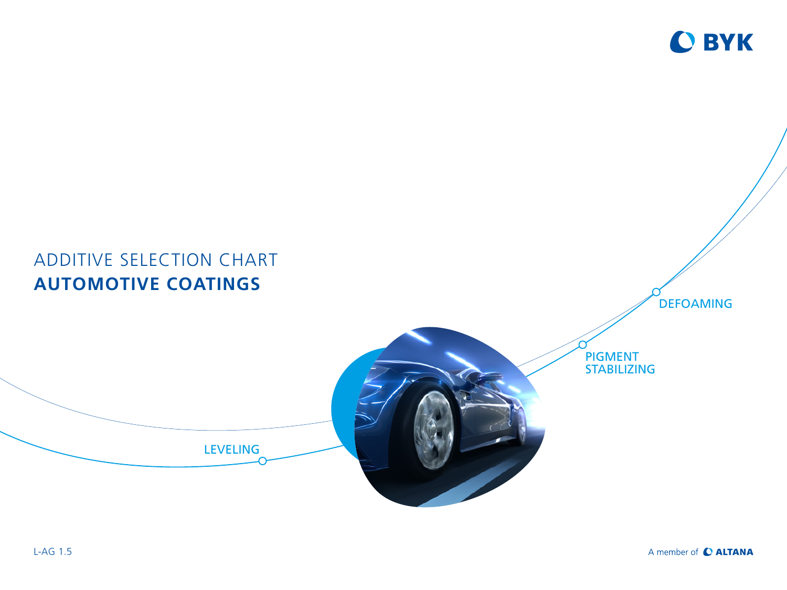

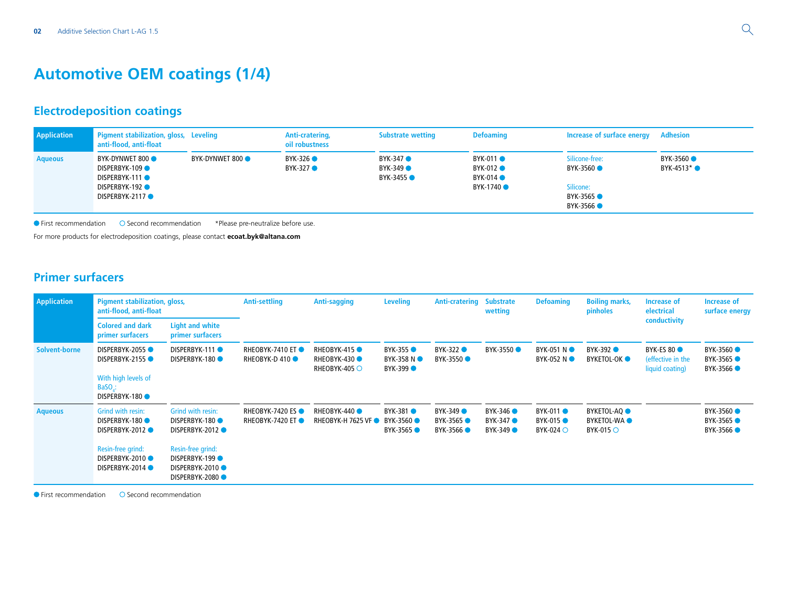### **Automotive OEM coatings (1/4)**

### **Electrodeposition coatings**

| Application    | Pigment stabilization, gloss, Leveling<br>anti-flood, anti-float                    |                | Anti-cratering,<br>oil robustness | <b>Substrate wetting</b>           | <b>Defoaming</b>                                            | Increase of surface energy Adhesion                             |                           |
|----------------|-------------------------------------------------------------------------------------|----------------|-----------------------------------|------------------------------------|-------------------------------------------------------------|-----------------------------------------------------------------|---------------------------|
| <b>Aqueous</b> | BYK-DYNWET 800<br>DISPERBYK-109<br>DISPERBYK-111<br>DISPERBYK-192<br>DISPERBYK-2117 | BYK-DYNWET 800 | BYK-326 ●<br>BYK-327 ●            | BYK-347 ●<br>BYK-349 ●<br>BYK-3455 | BYK-011 ●<br>BYK-012 ●<br>$BYK-014$ $\bullet$<br>BYK-1740 ● | Silicone-free:<br>BYK-3560<br>Silicone:<br>BYK-3565<br>BYK-3566 | BYK-3560 ●<br>BYK-4513* ● |

First recommendation Second recommendation \*Please pre-neutralize before use.

For more products for electrodeposition coatings, please contact **ecoat.byk@altana.com**

### **Primer surfacers**

| <b>Application</b> | <b>Pigment stabilization, gloss,</b><br>anti-flood, anti-float                                                |                                                                                                                                                   | <b>Anti-settling</b>                    | <b>Anti-sagging</b>                         | <b>Leveling</b>                           | Anti-cratering                      | <b>Substrate</b><br>wetting     | <b>Defoaming</b>                                               | <b>Boiling marks,</b><br>pinholes                                          | Increase of<br>electrical                         | Increase of<br>surface energy        |
|--------------------|---------------------------------------------------------------------------------------------------------------|---------------------------------------------------------------------------------------------------------------------------------------------------|-----------------------------------------|---------------------------------------------|-------------------------------------------|-------------------------------------|---------------------------------|----------------------------------------------------------------|----------------------------------------------------------------------------|---------------------------------------------------|--------------------------------------|
|                    | <b>Colored and dark</b><br>primer surfacers                                                                   | <b>Light and white</b><br>primer surfacers                                                                                                        |                                         |                                             |                                           |                                     |                                 |                                                                |                                                                            | conductivity                                      |                                      |
| Solvent-borne      | DISPERBYK-2055<br>DISPERBYK-2155 ●<br>With high levels of<br>$BaSO$ .:<br>DISPERBYK-180                       | DISPERBYK-111<br><b>DISPERBYK-180 ●</b>                                                                                                           | RHEOBYK-7410 ET<br><b>RHEOBYK-D410●</b> | RHEOBYK-415<br>RHEOBYK-430<br>RHEOBYK-405 O | <b>BYK-355 ●</b><br>BYK-358 NO<br>BYK-399 | BYK-322<br>BYK-3550 ●               | BYK-3550 ●                      | BYK-051 NO<br>BYK-052 NO                                       | BYK-392 ●<br><b>BYKETOL-OK</b> •                                           | BYK-ES 80<br>(effective in the<br>liquid coating) | BYK-3560 ●<br>BYK-3565 ●<br>BYK-3566 |
| <b>Aqueous</b>     | Grind with resin:<br>DISPERBYK-180<br>DISPERBYK-2012<br>Resin-free grind:<br>DISPERBYK-2010<br>DISPERBYK-2014 | Grind with resin:<br><b>DISPERBYK-180 ●</b><br>DISPERBYK-2012 ●<br>Resin-free grind:<br><b>DISPERBYK-199●</b><br>DISPERBYK-2010<br>DISPERBYK-2080 | RHEOBYK-7420 ES<br>RHEOBYK-7420 ET      | RHEOBYK-440<br><b>RHEOBYK-H 7625 VF ●</b>   | BYK-381 ●<br>BYK-3560<br>BYK-3565 ●       | BYK-349 ●<br>BYK-3565 ●<br>BYK-3566 | BYK-346<br>BYK-347 ●<br>BYK-349 | BYK-011 ●<br><b>BYK-015 ●</b><br>$BYK-024$ $\circlearrowright$ | BYKETOL-AQ <b>O</b><br><b>BYKETOL-WAO</b><br>$BYK-015$ $\circlearrowright$ |                                                   | BYK-3560 ●<br>BYK-3565<br>BYK-3566   |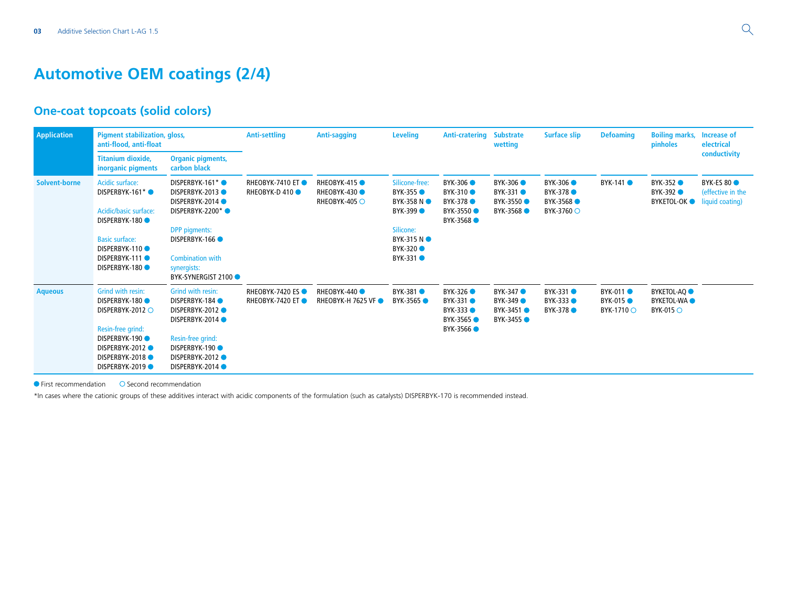### **Automotive OEM coatings (2/4)**

#### **One-coat topcoats (solid colors)**

| <b>Application</b>   | <b>Pigment stabilization, gloss,</b><br>anti-flood, anti-float                                                                                          |                                                                                                                                                                                | <b>Anti-settling</b>                               | <b>Anti-sagging</b>                                           | <b>Leveling</b>                                                                                                                        | <b>Anti-cratering</b>                                     | <b>Substrate</b><br>wetting                         | <b>Surface slip</b>                                   | <b>Defoaming</b>                                   | <b>Boiling marks,</b><br>pinholes                           | Increase of<br>electrical                                |
|----------------------|---------------------------------------------------------------------------------------------------------------------------------------------------------|--------------------------------------------------------------------------------------------------------------------------------------------------------------------------------|----------------------------------------------------|---------------------------------------------------------------|----------------------------------------------------------------------------------------------------------------------------------------|-----------------------------------------------------------|-----------------------------------------------------|-------------------------------------------------------|----------------------------------------------------|-------------------------------------------------------------|----------------------------------------------------------|
|                      | <b>Titanium dioxide,</b><br>inorganic pigments                                                                                                          | <b>Organic pigments,</b><br>carbon black                                                                                                                                       |                                                    |                                                               |                                                                                                                                        |                                                           |                                                     |                                                       |                                                    |                                                             | conductivity                                             |
| <b>Solvent-borne</b> | Acidic surface:<br>DISPERBYK-161*<br>Acidic/basic surface:<br>DISPERBYK-180<br><b>Basic surface:</b><br>DISPERBYK-110<br>DISPERBYK-111<br>DISPERBYK-180 | DISPERBYK-161*<br>DISPERBYK-2013<br>DISPERBYK-2014<br>DISPERBYK-2200*<br><b>DPP</b> pigments:<br>DISPERBYK-166<br><b>Combination with</b><br>synergists:<br>BYK-SYNERGIST 2100 | <b>RHEOBYK-7410 ET●</b><br><b>RHEOBYK-D410●</b>    | <b>RHEOBYK-415 ●</b><br>RHEOBYK-430<br>RHEOBYK-405 $\bigcirc$ | Silicone-free:<br>BYK-355 ●<br>BYK-358 NO<br><b>BYK-399</b><br>Silicone:<br><b>BYK-315 N</b> ●<br><b>BYK-320 ●</b><br><b>BYK-331 ●</b> | BYK-306<br>BYK-310<br>BYK-378 ●<br>BYK-3550<br>BYK-3568   | <b>BYK-306</b><br>BYK-331<br>BYK-3550<br>BYK-3568 ● | BYK-306 ●<br><b>BYK-378</b><br>BYK-3568<br>BYK-3760 ○ | BYK-141 ●                                          | BYK-352<br>BYK-392<br><b>BYKETOL-OK</b>                     | <b>BYK-ES 80</b><br>(effective in the<br>liquid coating) |
| <b>Aqueous</b>       | Grind with resin:<br>DISPERBYK-180<br>DISPERBYK-2012 O<br>Resin-free grind:<br>DISPERBYK-190<br>DISPERBYK-2012<br>DISPERBYK-2018<br>DISPERBYK-2019      | Grind with resin:<br>DISPERBYK-184<br>DISPERBYK-2012 ●<br>DISPERBYK-2014 ●<br>Resin-free grind:<br>DISPERBYK-190<br>DISPERBYK-2012<br>DISPERBYK-2014                           | <b>RHEOBYK-7420 ES●</b><br><b>RHEOBYK-7420 ET●</b> | RHEOBYK-440<br><b>RHEOBYK-H 7625 VF ●</b>                     | BYK-381 <b>O</b><br>BYK-3565 ●                                                                                                         | BYK-326 ●<br>BYK-331 ●<br>BYK-333<br>BYK-3565<br>BYK-3566 | BYK-347<br>BYK-349 ●<br>BYK-3451 ●<br>BYK-3455 ●    | BYK-331<br>BYK-333 ●<br><b>BYK-378</b>                | <b>BYK-011</b> ●<br><b>BYK-015 ●</b><br>BYK-1710 ○ | <b>BYKETOL-AQ</b><br><b>BYKETOL-WAO</b><br><b>BYK-015 ○</b> |                                                          |

 $\bullet$  First recommendation  $\bullet$  Second recommendation

\*In cases where the cationic groups of these additives interact with acidic components of the formulation (such as catalysts) DISPERBYK-170 is recommended instead.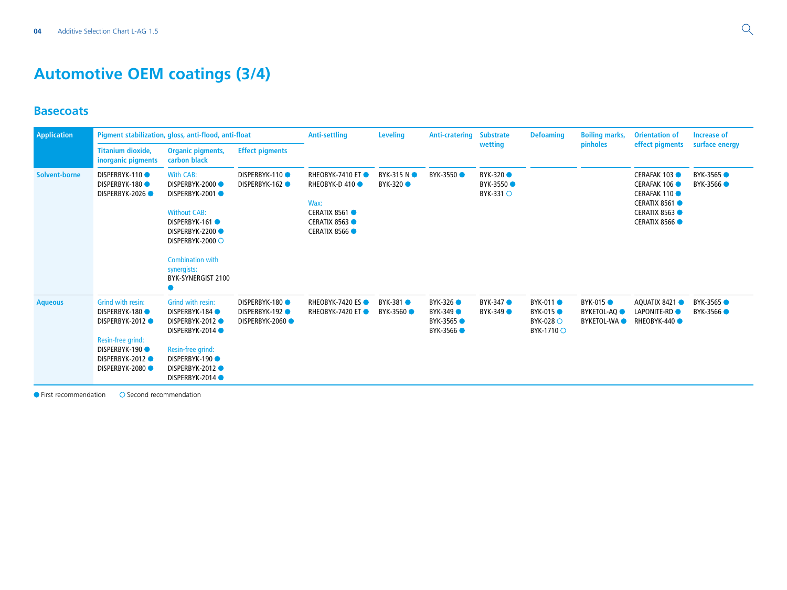# **Automotive OEM coatings (3/4)**

#### **Basecoats**

| <b>Application</b>   |                                                                                                                                  | Pigment stabilization, gloss, anti-flood, anti-float                                                                                                                                               |                                                  | <b>Anti-settling</b>                                                                                             | <b>Leveling</b>         | <b>Anti-cratering</b>                            | <b>Substrate</b>                            | <b>Defoaming</b>                                         | <b>Boiling marks,</b>                                       | <b>Orientation of</b>                                                                                                     | Increase of            |
|----------------------|----------------------------------------------------------------------------------------------------------------------------------|----------------------------------------------------------------------------------------------------------------------------------------------------------------------------------------------------|--------------------------------------------------|------------------------------------------------------------------------------------------------------------------|-------------------------|--------------------------------------------------|---------------------------------------------|----------------------------------------------------------|-------------------------------------------------------------|---------------------------------------------------------------------------------------------------------------------------|------------------------|
|                      | <b>Titanium dioxide,</b><br>inorganic pigments                                                                                   | <b>Organic pigments,</b><br>carbon black                                                                                                                                                           | <b>Effect pigments</b>                           |                                                                                                                  |                         |                                                  | wetting                                     |                                                          | pinholes                                                    | effect pigments                                                                                                           | surface energy         |
| <b>Solvent-borne</b> | DISPERBYK-110<br>DISPERBYK-180<br>DISPERBYK-2026                                                                                 | <b>With CAB:</b><br>DISPERBYK-2000<br>DISPERBYK-2001<br><b>Without CAB:</b><br>DISPERBYK-161<br>DISPERBYK-2200<br>DISPERBYK-2000 ○<br><b>Combination with</b><br>synergists:<br>BYK-SYNERGIST 2100 | DISPERBYK-110<br>DISPERBYK-162                   | <b>RHEOBYK-7410 ET●</b><br><b>RHEOBYK-D410●</b><br>Wax:<br>CERATIX 8561 ●<br>CERATIX 8563<br><b>CERATIX 8566</b> | BYK-315 NO<br>BYK-320 ● | BYK-3550 ●                                       | <b>BYK-320 ●</b><br>BYK-3550 ●<br>BYK-331 O |                                                          |                                                             | <b>CERAFAK 103</b><br>CERAFAK 106 ●<br><b>CERAFAK 110</b><br><b>CERATIX 8561</b><br>CERATIX 8563 ●<br><b>CERATIX 8566</b> | BYK-3565 ●<br>BYK-3566 |
| <b>Aqueous</b>       | Grind with resin:<br>DISPERBYK-180<br>DISPERBYK-2012 ●<br>Resin-free grind:<br>DISPERBYK-190<br>DISPERBYK-2012<br>DISPERBYK-2080 | Grind with resin:<br>DISPERBYK-184<br>DISPERBYK-2012<br>DISPERBYK-2014<br>Resin-free grind:<br>DISPERBYK-190<br>DISPERBYK-2012<br>DISPERBYK-2014                                                   | DISPERBYK-180<br>DISPERBYK-192<br>DISPERBYK-2060 | <b>RHEOBYK-7420 ES●</b><br><b>RHEOBYK-7420 ET●</b>                                                               | BYK-381 ●<br>BYK-3560   | BYK-326<br>BYK-349 ●<br>BYK-3565 ●<br>BYK-3566 ● | BYK-347 ●<br><b>BYK-349 ●</b>               | BYK-011 ●<br><b>BYK-015 ●</b><br>BYK-028 O<br>BYK-1710 ○ | <b>BYK-015</b><br>BYKETOL-AQ <b>O</b><br><b>BYKETOL-WAO</b> | AQUATIX 8421<br>LAPONITE-RD <sup>O</sup><br>RHEOBYK-440                                                                   | BYK-3565 ●<br>BYK-3566 |

 $Q$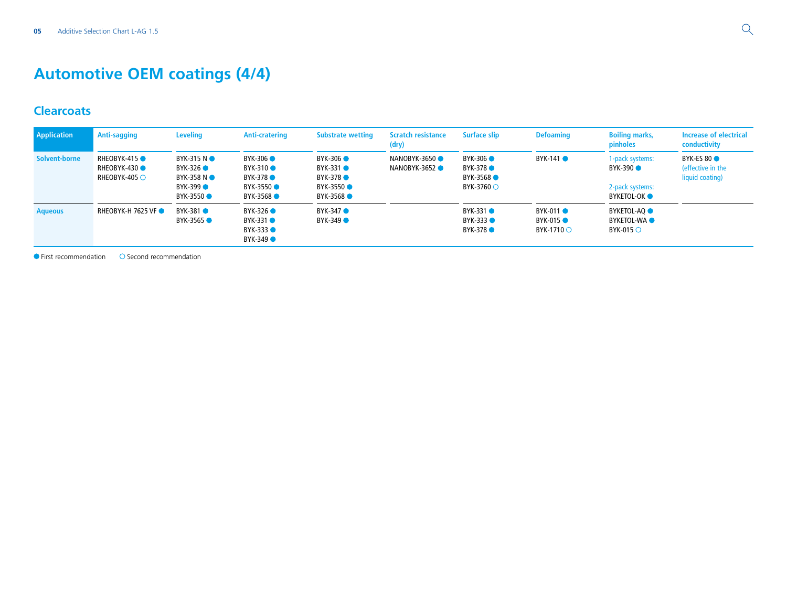# **Automotive OEM coatings (4/4)**

#### **Clearcoats**

| Application    | Anti-sagging                                | <b>Leveling</b>                                                         | <b>Anti-cratering</b>                                                | <b>Substrate wetting</b>                                    | <b>Scratch resistance</b><br>(dry) | <b>Surface slip</b>                              | <b>Defoaming</b>                            | <b>Boiling marks,</b><br>pinholes                                      | <b>Increase of electrical</b><br>conductivity     |
|----------------|---------------------------------------------|-------------------------------------------------------------------------|----------------------------------------------------------------------|-------------------------------------------------------------|------------------------------------|--------------------------------------------------|---------------------------------------------|------------------------------------------------------------------------|---------------------------------------------------|
| Solvent-borne  | RHEOBYK-415<br>RHEOBYK-430<br>RHEOBYK-405 O | BYK-315 NO<br>BYK-326 ●<br>BYK-358 NO<br><b>BYK-399 ●</b><br>BYK-3550 ● | <b>BYK-306 ●</b><br>BYK-310 ●<br>BYK-378 ●<br>BYK-3550 ●<br>BYK-3568 | BYK-306 ●<br>BYK-331 ●<br>BYK-378 ●<br>BYK-3550<br>BYK-3568 | NANOBYK-3650<br>NANOBYK-3652       | BYK-306 ●<br>BYK-378 ●<br>BYK-3568<br>BYK-3760 O | $BYK-141$ $\bullet$                         | 1-pack systems:<br>BYK-390 ●<br>2-pack systems:<br>BYKETOL-OK <b>O</b> | BYK-ES 80<br>(effective in the<br>liquid coating) |
| <b>Aqueous</b> | <b>RHEOBYK-H 7625 VF ●</b>                  | BYK-381 ●<br>BYK-3565 ●                                                 | BYK-326 ●<br>BYK-331 ●<br>BYK-333 ●<br>BYK-349 ●                     | BYK-347 ●<br>BYK-349 ●                                      |                                    | BYK-331 ●<br>BYK-333 ●<br>BYK-378                | BYK-011 ●<br><b>BYK-015 ●</b><br>BYK-1710 ○ | BYKETOL-AQ <b>O</b><br><b>BYKETOL-WAO</b><br>BYK-015 $\circ$           |                                                   |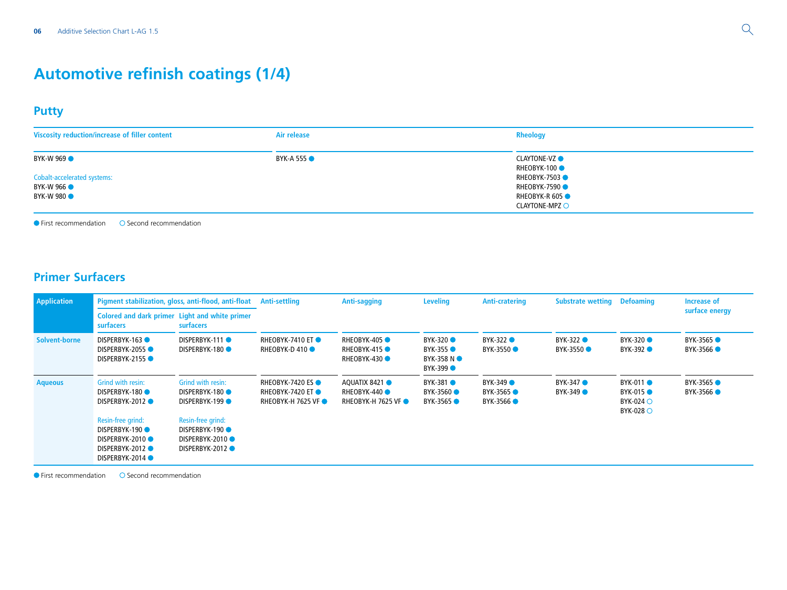### **Automotive refinish coatings (1/4)**

#### **Putty**

| Viscosity reduction/increase of filler content                                            | Air release        | <b>Rheology</b>                                                                                                                              |
|-------------------------------------------------------------------------------------------|--------------------|----------------------------------------------------------------------------------------------------------------------------------------------|
| BYK-W 969<br><b>Cobalt-accelerated systems:</b><br><b>BYK-W 966 •</b><br><b>BYK-W 980</b> | <b>BYK-A 555 •</b> | <b>CLAYTONE-VZ</b><br>RHEOBYK-100 <sup>0</sup><br>RHEOBYK-7503<br><b>RHEOBYK-7590</b><br><b>RHEOBYK-R 605 ●</b><br>$CLAYTONE-MPZ$ $\bigcirc$ |

 $\bullet$  First recommendation  $\bullet$  Second recommendation

### **Primer Surfacers**

| <b>Application</b> |                                                                                 | Pigment stabilization, gloss, anti-flood, anti-float Anti-settling                        |                                                                             | Anti-sagging                                              | <b>Leveling</b>                                          | Anti-cratering                    | <b>Substrate wetting</b> | <b>Defoaming</b>                                                                   | <b>Increase of</b>     |
|--------------------|---------------------------------------------------------------------------------|-------------------------------------------------------------------------------------------|-----------------------------------------------------------------------------|-----------------------------------------------------------|----------------------------------------------------------|-----------------------------------|--------------------------|------------------------------------------------------------------------------------|------------------------|
|                    | Colored and dark primer Light and white primer<br><b>surfacers</b><br>surfacers |                                                                                           |                                                                             |                                                           |                                                          |                                   |                          |                                                                                    | surface energy         |
| Solvent-borne      | DISPERBYK-163<br>DISPERBYK-2055<br>DISPERBYK-2155                               | DISPERBYK-111<br>DISPERBYK-180                                                            | RHEOBYK-7410 ET<br><b>RHEOBYK-D410●</b>                                     | RHEOBYK-405<br>RHEOBYK-415<br>RHEOBYK-430                 | BYK-320 ●<br><b>BYK-355 ●</b><br>BYK-358 NO<br>BYK-399 ● | BYK-322 <sup>O</sup><br>BYK-3550  | BYK-322 ●<br>BYK-3550    | BYK-320 ●<br>BYK-392 ●                                                             | BYK-3565 ●<br>BYK-3566 |
| <b>Aqueous</b>     | Grind with resin:<br>DISPERBYK-180<br>DISPERBYK-2012<br>Resin-free grind:       | Grind with resin:<br><b>DISPERBYK-180 ●</b><br><b>DISPERBYK-199●</b><br>Resin-free grind: | <b>RHEOBYK-7420 ES ●</b><br>RHEOBYK-7420 ET ●<br><b>RHEOBYK-H 7625 VF ●</b> | AQUATIX 8421<br>RHEOBYK-440<br><b>RHEOBYK-H 7625 VF ●</b> | BYK-381 ●<br>BYK-3560 ●<br>BYK-3565 ●                    | BYK-349 ●<br>BYK-3565<br>BYK-3566 | BYK-347 ●<br>BYK-349 ●   | BYK-011 ●<br><b>BYK-015 ●</b><br>$BYK-024$ $\circlearrowright$<br><b>BYK-028</b> ○ | BYK-3565 ●<br>BYK-3566 |
|                    | DISPERBYK-190<br>DISPERBYK-2010<br>DISPERBYK-2012 ●<br>DISPERBYK-2014 ●         | <b>DISPERBYK-190●</b><br>DISPERBYK-2010<br>DISPERBYK-2012                                 |                                                                             |                                                           |                                                          |                                   |                          |                                                                                    |                        |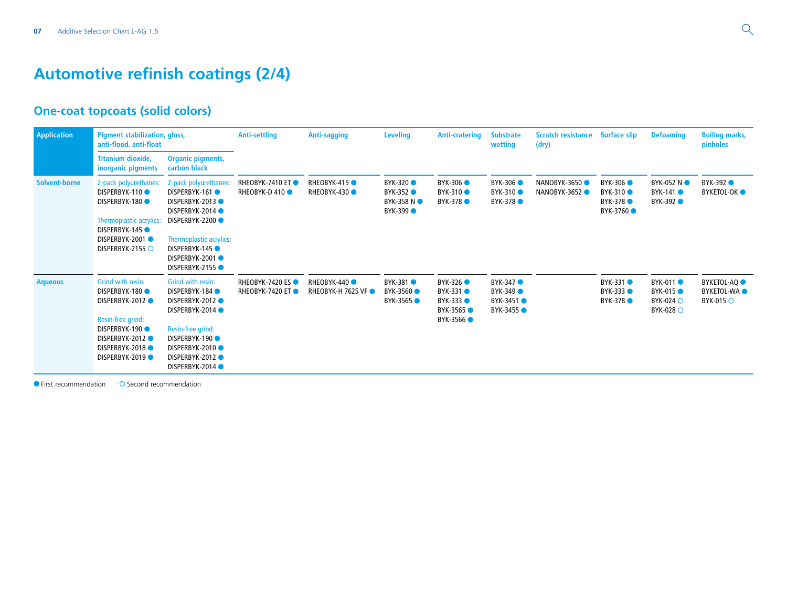### **Automotive refinish coatings (2/4)**

### **One-coat topcoats (solid colors)**

| <b>Application</b> | <b>Pigment stabilization, gloss,</b><br>anti-flood, anti-float                                                                                                   |                                                                                                                                                                                  | <b>Anti-settling</b>                               | Anti-sagging                              | <b>Leveling</b>                                    | <b>Anti-cratering</b>                                                  | <b>Substrate</b><br>wetting                           | <b>Scratch resistance</b><br>(dry) | <b>Surface slip</b>                                                  | <b>Defoaming</b>                                                                 | <b>Boiling marks,</b><br>pinholes                                        |
|--------------------|------------------------------------------------------------------------------------------------------------------------------------------------------------------|----------------------------------------------------------------------------------------------------------------------------------------------------------------------------------|----------------------------------------------------|-------------------------------------------|----------------------------------------------------|------------------------------------------------------------------------|-------------------------------------------------------|------------------------------------|----------------------------------------------------------------------|----------------------------------------------------------------------------------|--------------------------------------------------------------------------|
|                    | <b>Titanium dioxide,</b><br>inorganic pigments                                                                                                                   | <b>Organic pigments,</b><br>carbon black                                                                                                                                         |                                                    |                                           |                                                    |                                                                        |                                                       |                                    |                                                                      |                                                                                  |                                                                          |
| Solvent-borne      | 2-pack polyurethanes:<br>DISPERBYK-110<br>DISPERBYK-180<br>Thermoplastic acrylics:<br>DISPERBYK-145<br>DISPERBYK-2001<br>DISPERBYK-2155 O                        | 2-pack polyurethanes:<br>DISPERBYK-161<br>DISPERBYK-2013 ●<br>DISPERBYK-2014 ●<br>DISPERBYK-2200<br>Thermoplastic acrylics:<br>DISPERBYK-145<br>DISPERBYK-2001<br>DISPERBYK-2155 | <b>RHEOBYK-7410 ET●</b><br>RHEOBYK-D 410 ●         | <b>RHEOBYK-415 ●</b><br>RHEOBYK-430       | <b>BYK-320</b><br>BYK-352<br>BYK-358 NO<br>BYK-399 | <b>BYK-306</b><br><b>BYK-310</b><br><b>BYK-378 ●</b>                   | BYK-306<br>BYK-310<br><b>BYK-378</b>                  | NANOBYK-3650<br>NANOBYK-3652       | <b>BYK-306 ●</b><br><b>BYK-310</b><br><b>BYK-378</b> ●<br>BYK-3760 ● | BYK-052 NO<br><b>BYK-141 ●</b><br>BYK-392 ●                                      | BYK-392<br>BYKETOL-OK <b>O</b>                                           |
| <b>Aqueous</b>     | Grind with resin:<br>DISPERBYK-180<br>DISPERBYK-2012<br>Resin-free grind:<br>DISPERBYK-190<br><b>DISPERBYK-2012●</b><br>DISPERBYK-2018<br><b>DISPERBYK-2019●</b> | Grind with resin:<br>DISPERBYK-184<br>DISPERBYK-2012<br>DISPERBYK-2014<br>Resin-free grind:<br>DISPERBYK-190<br>DISPERBYK-2010<br>DISPERBYK-2012<br>DISPERBYK-2014               | <b>RHEOBYK-7420 ES●</b><br><b>RHEOBYK-7420 ET●</b> | RHEOBYK-440<br><b>RHEOBYK-H 7625 VF ●</b> | BYK-381 ●<br>BYK-3560 ●<br>BYK-3565 ●              | BYK-326 ●<br><b>BYK-331 ●</b><br>BYK-333 ●<br>BYK-3565 ●<br>BYK-3566 ● | BYK-347 ●<br><b>BYK-349</b><br>BYK-3451<br>BYK-3455 ● |                                    | BYK-331<br>BYK-333<br>BYK-378 ●                                      | BYK-011 ●<br><b>BYK-015</b><br>$BYK-024$ $\circlearrowright$<br><b>BYK-028</b> O | <b>BYKETOL-AQ</b><br><b>BYKETOL-WAO</b><br>$BYK-015$ $\circlearrowright$ |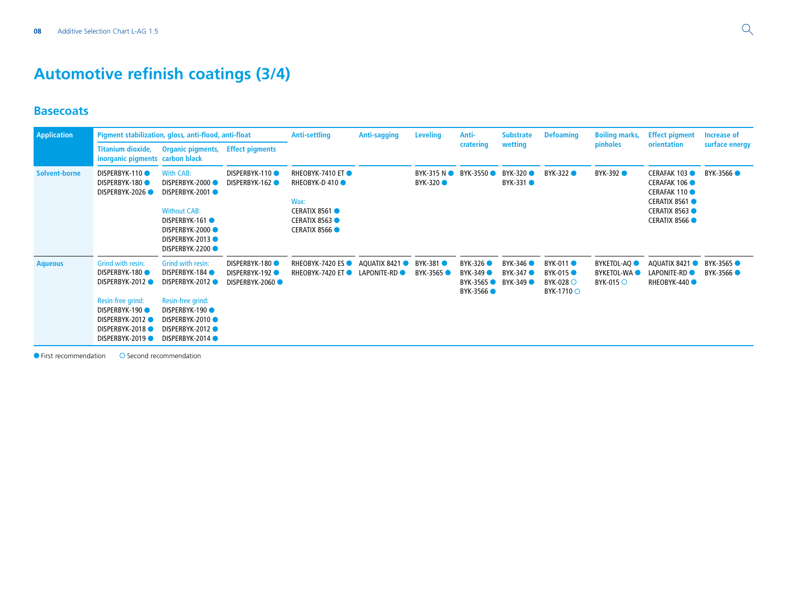# **Automotive refinish coatings (3/4)**

#### **Basecoats**

| <b>Application</b>   |                                                                                                                                                          | Pigment stabilization, gloss, anti-flood, anti-float                                                                                                 |                                                           | <b>Anti-settling</b>                                                                                         | <b>Anti-sagging</b>                  | <b>Leveling</b>              | Anti-                                          | <b>Substrate</b>                | <b>Defoaming</b>                                               | <b>Boiling marks,</b>                                                   | <b>Effect pigment</b>                                                                                                          | Increase of              |
|----------------------|----------------------------------------------------------------------------------------------------------------------------------------------------------|------------------------------------------------------------------------------------------------------------------------------------------------------|-----------------------------------------------------------|--------------------------------------------------------------------------------------------------------------|--------------------------------------|------------------------------|------------------------------------------------|---------------------------------|----------------------------------------------------------------|-------------------------------------------------------------------------|--------------------------------------------------------------------------------------------------------------------------------|--------------------------|
|                      | <b>Titanium dioxide,</b><br>inorganic pigments                                                                                                           | <b>Organic pigments,</b><br>carbon black                                                                                                             | <b>Effect pigments</b>                                    |                                                                                                              |                                      |                              | cratering                                      | wetting                         |                                                                | <b>pinholes</b>                                                         | orientation                                                                                                                    | surface energy           |
| <b>Solvent-borne</b> | DISPERBYK-110<br>DISPERBYK-180<br><b>DISPERBYK-2026●</b>                                                                                                 | <b>With CAB:</b><br>DISPERBYK-2000<br>DISPERBYK-2001<br><b>Without CAB:</b><br>DISPERBYK-161<br>DISPERBYK-2000<br>DISPERBYK-2013<br>DISPERBYK-2200   | DISPERBYK-110<br>DISPERBYK-162 ●                          | RHEOBYK-7410 ET ●<br>RHEOBYK-D 410<br>Wax:<br>CERATIX 8561 ●<br><b>CERATIX 8563</b><br><b>CERATIX 8566 O</b> |                                      | BYK-315 NO<br>BYK-320 ●      | BYK-3550                                       | BYK-320 ●<br>BYK-331 ●          | BYK-322 ●                                                      | BYK-392 <b>O</b>                                                        | <b>CERAFAK 103</b><br><b>CERAFAK 106 O</b><br><b>CERAFAK 110</b><br>CERATIX 8561<br><b>CERATIX 8563</b><br><b>CERATIX 8566</b> | BYK-3566                 |
| <b>Aqueous</b>       | Grind with resin:<br>DISPERBYK-180<br>DISPERBYK-2012<br>Resin-free grind:<br>DISPERBYK-190<br>DISPERBYK-2012<br><b>DISPERBYK-2018●</b><br>DISPERBYK-2019 | Grind with resin:<br>DISPERBYK-184<br>DISPERBYK-2012<br>Resin-free grind:<br>DISPERBYK-190<br>DISPERBYK-2010<br>DISPERBYK-2012 ●<br>DISPERBYK-2014 ● | DISPERBYK-180<br><b>DISPERBYK-192 ●</b><br>DISPERBYK-2060 | RHEOBYK-7420 ES ●<br><b>RHEOBYK-7420 ET●</b>                                                                 | AQUATIX 8421<br>LAPONITE-RD <b>O</b> | <b>BYK-381</b> ●<br>BYK-3565 | BYK-326 ●<br>BYK-349<br>BYK-3565<br>BYK-3566 ● | BYK-346<br>BYK-347<br>BYK-349 ● | BYK-011 ●<br><b>BYK-015 ●</b><br>BYK-028 $\circ$<br>BYK-1710 O | <b>BYKETOL-AQ</b><br><b>BYKETOL-WA</b><br>$BYK-015$ $\circlearrowright$ | AQUATIX 8421<br>LAPONITE-RD <sup>O</sup><br>RHEOBYK-440                                                                        | BYK-3565 ●<br>BYK-3566 ● |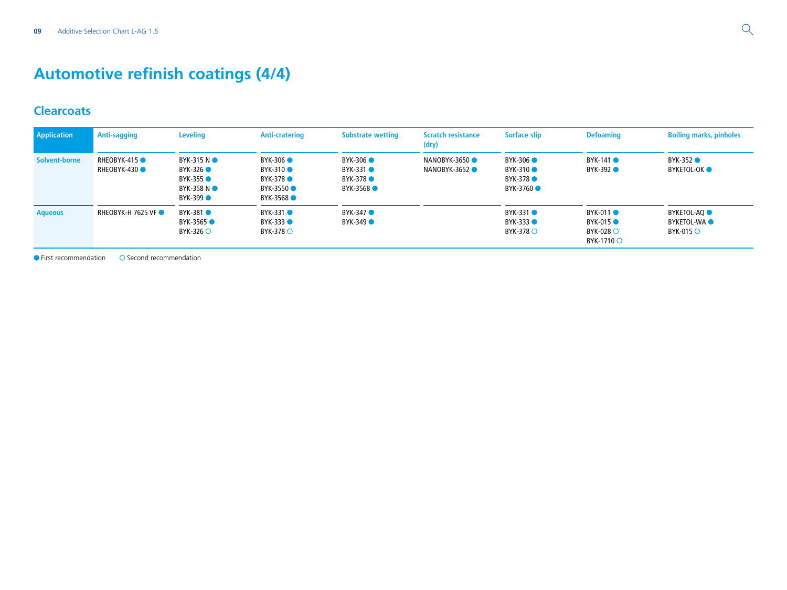# **Automotive refinish coatings (4/4)**

#### **Clearcoats**

| <b>Application</b> | Anti-sagging               | <b>Leveling</b>                                                 | Anti-cratering                                                | <b>Substrate wetting</b>                                  | <b>Scratch resistance</b><br>(dry) | <b>Surface slip</b>                                  | <b>Defoaming</b>                                                            | <b>Boiling marks, pinholes</b>                                             |
|--------------------|----------------------------|-----------------------------------------------------------------|---------------------------------------------------------------|-----------------------------------------------------------|------------------------------------|------------------------------------------------------|-----------------------------------------------------------------------------|----------------------------------------------------------------------------|
| Solvent-borne      | RHEOBYK-415<br>RHEOBYK-430 | BYK-315 NO<br>BYK-326 ●<br>BYK-355 ●<br>BYK-358 NO<br>BYK-399 ● | BYK-306 ●<br>BYK-310 ●<br>BYK-378 ●<br>BYK-3550 ●<br>BYK-3568 | BYK-306 ●<br>$BYK-331$ $\bullet$<br>BYK-378 ●<br>BYK-3568 | NANOBYK-3650<br>NANOBYK-3652       | BYK-306 ●<br>BYK-310<br>BYK-378<br>BYK-3760 ●        | BYK-141 ●<br>BYK-392 <sup>O</sup>                                           | BYK-352 ●<br>BYKETOL-OK O                                                  |
| <b>Aqueous</b>     | <b>RHEOBYK-H 7625 VF ●</b> | BYK-381 ●<br>BYK-3565<br>BYK-326 $\circ$                        | BYK-331<br>BYK-333 <b>O</b><br>BYK-378 $\circ$                | BYK-347 ●<br>$BYK-349$                                    |                                    | BYK-331 ●<br>BYK-333 <sup>O</sup><br>BYK-378 $\circ$ | BYK-011 ●<br><b>BYK-015●</b><br>$BYK-028$ $\circlearrowright$<br>BYK-1710 ○ | BYKETOL-AQ <b>O</b><br><b>BYKETOL-WAO</b><br>$BYK-015$ $\circlearrowright$ |